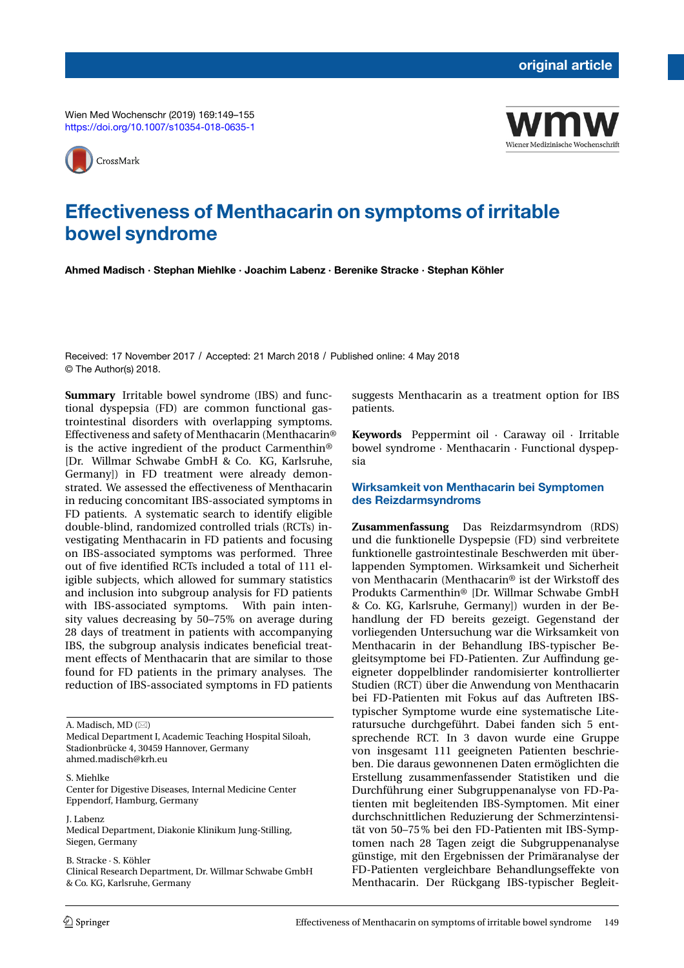Wien Med Wochenschr (2019) 169:149–155 <https://doi.org/10.1007/s10354-018-0635-1>





# **Effectiveness of Menthacarin on symptoms of irritable bowel syndrome**

**Ahmed Madisch · Stephan Miehlke · Joachim Labenz · Berenike Stracke · Stephan Köhler**

Received: 17 November 2017 / Accepted: 21 March 2018 / Published online: 4 May 2018 © The Author(s) 2018.

**Summary** Irritable bowel syndrome (IBS) and functional dyspepsia (FD) are common functional gastrointestinal disorders with overlapping symptoms. Effectiveness and safety of Menthacarin (Menthacarin® is the active ingredient of the product Carmenthin® [Dr. Willmar Schwabe GmbH & Co. KG, Karlsruhe, Germany]) in FD treatment were already demonstrated. We assessed the effectiveness of Menthacarin in reducing concomitant IBS-associated symptoms in FD patients. A systematic search to identify eligible double-blind, randomized controlled trials (RCTs) investigating Menthacarin in FD patients and focusing on IBS-associated symptoms was performed. Three out of five identified RCTs included a total of 111 eligible subjects, which allowed for summary statistics and inclusion into subgroup analysis for FD patients with IBS-associated symptoms. With pain intensity values decreasing by 50–75% on average during 28 days of treatment in patients with accompanying IBS, the subgroup analysis indicates beneficial treatment effects of Menthacarin that are similar to those found for FD patients in the primary analyses. The reduction of IBS-associated symptoms in FD patients

A. Madisch, MD  $(\boxtimes)$ 

Medical Department I, Academic Teaching Hospital Siloah, Stadionbrücke 4, 30459 Hannover, Germany ahmed.madisch@krh.eu

S. Miehlke Center for Digestive Diseases, Internal Medicine Center Eppendorf, Hamburg, Germany

J. Labenz Medical Department, Diakonie Klinikum Jung-Stilling, Siegen, Germany

B. Stracke · S. Köhler Clinical Research Department, Dr. Willmar Schwabe GmbH & Co. KG, Karlsruhe, Germany

suggests Menthacarin as a treatment option for IBS patients.

**Keywords** Peppermint oil · Caraway oil · Irritable bowel syndrome · Menthacarin · Functional dyspepsia

# **Wirksamkeit von Menthacarin bei Symptomen des Reizdarmsyndroms**

**Zusammenfassung** Das Reizdarmsyndrom (RDS) und die funktionelle Dyspepsie (FD) sind verbreitete funktionelle gastrointestinale Beschwerden mit überlappenden Symptomen. Wirksamkeit und Sicherheit von Menthacarin (Menthacarin® ist der Wirkstoff des Produkts Carmenthin® [Dr. Willmar Schwabe GmbH & Co. KG, Karlsruhe, Germany]) wurden in der Behandlung der FD bereits gezeigt. Gegenstand der vorliegenden Untersuchung war die Wirksamkeit von Menthacarin in der Behandlung IBS-typischer Begleitsymptome bei FD-Patienten. Zur Auffindung geeigneter doppelblinder randomisierter kontrollierter Studien (RCT) über die Anwendung von Menthacarin bei FD-Patienten mit Fokus auf das Auftreten IBStypischer Symptome wurde eine systematische Literatursuche durchgeführt. Dabei fanden sich 5 entsprechende RCT. In 3 davon wurde eine Gruppe von insgesamt 111 geeigneten Patienten beschrieben. Die daraus gewonnenen Daten ermöglichten die Erstellung zusammenfassender Statistiken und die Durchführung einer Subgruppenanalyse von FD-Patienten mit begleitenden IBS-Symptomen. Mit einer durchschnittlichen Reduzierung der Schmerzintensität von 50–75% bei den FD-Patienten mit IBS-Symptomen nach 28 Tagen zeigt die Subgruppenanalyse günstige, mit den Ergebnissen der Primäranalyse der FD-Patienten vergleichbare Behandlungseffekte von Menthacarin. Der Rückgang IBS-typischer Begleit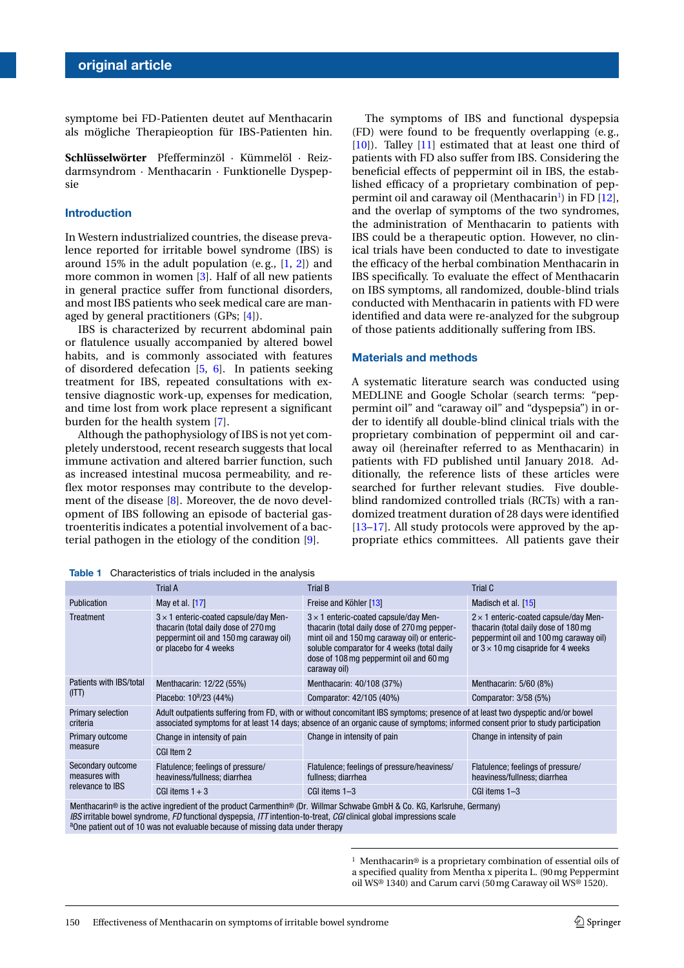symptome bei FD-Patienten deutet auf Menthacarin als mögliche Therapieoption für IBS-Patienten hin.

**Schlüsselwörter** Pfefferminzöl · Kümmelöl · Reizdarmsyndrom · Menthacarin · Funktionelle Dyspepsie

## **Introduction**

In Western industrialized countries, the disease prevalence reported for irritable bowel syndrome (IBS) is around 15% in the adult population (e.g.,  $[1, 2]$  $[1, 2]$  $[1, 2]$ ) and more common in women [\[3\]](#page-5-2). Half of all new patients in general practice suffer from functional disorders, and most IBS patients who seek medical care are managed by general practitioners (GPs; [\[4\]](#page-5-3)).

IBS is characterized by recurrent abdominal pain or flatulence usually accompanied by altered bowel habits, and is commonly associated with features of disordered defecation [\[5,](#page-5-4) [6\]](#page-5-5). In patients seeking treatment for IBS, repeated consultations with extensive diagnostic work-up, expenses for medication, and time lost from work place represent a significant burden for the health system [\[7\]](#page-5-6).

Although the pathophysiology of IBS is not yet completely understood, recent research suggests that local immune activation and altered barrier function, such as increased intestinal mucosa permeability, and reflex motor responses may contribute to the development of the disease [\[8\]](#page-5-7). Moreover, the de novo development of IBS following an episode of bacterial gastroenteritis indicates a potential involvement of a bacterial pathogen in the etiology of the condition [\[9\]](#page-6-0).

The symptoms of IBS and functional dyspepsia (FD) were found to be frequently overlapping (e. g., [\[10\]](#page-6-4)). Talley [\[11\]](#page-6-5) estimated that at least one third of patients with FD also suffer from IBS. Considering the beneficial effects of peppermint oil in IBS, the established efficacy of a proprietary combination of pep-permint oil and caraway oil (Menthacarin<sup>1</sup>) in FD [\[12\]](#page-6-6), and the overlap of symptoms of the two syndromes, the administration of Menthacarin to patients with IBS could be a therapeutic option. However, no clinical trials have been conducted to date to investigate the efficacy of the herbal combination Menthacarin in IBS specifically. To evaluate the effect of Menthacarin on IBS symptoms, all randomized, double-blind trials conducted with Menthacarin in patients with FD were identified and data were re-analyzed for the subgroup of those patients additionally suffering from IBS.

## **Materials and methods**

A systematic literature search was conducted using MEDLINE and Google Scholar (search terms: "peppermint oil" and "caraway oil" and "dyspepsia") in order to identify all double-blind clinical trials with the proprietary combination of peppermint oil and caraway oil (hereinafter referred to as Menthacarin) in patients with FD published until January 2018. Additionally, the reference lists of these articles were searched for further relevant studies. Five doubleblind randomized controlled trials (RCTs) with a randomized treatment duration of 28 days were identified [\[13](#page-6-2)[–17\]](#page-6-1). All study protocols were approved by the appropriate ethics committees. All patients gave their

<span id="page-1-1"></span>**Table 1** Characteristics of trials included in the analysis

|                                                                                                                          | <b>Trial A</b>                                                                                                                                                                                                                                                     | <b>Trial B</b>                                                                                                                                                                                                                                         | Trial C                                                                                                                                                                     |  |  |
|--------------------------------------------------------------------------------------------------------------------------|--------------------------------------------------------------------------------------------------------------------------------------------------------------------------------------------------------------------------------------------------------------------|--------------------------------------------------------------------------------------------------------------------------------------------------------------------------------------------------------------------------------------------------------|-----------------------------------------------------------------------------------------------------------------------------------------------------------------------------|--|--|
| <b>Publication</b>                                                                                                       | May et al. [17]                                                                                                                                                                                                                                                    | Freise and Köhler [13]                                                                                                                                                                                                                                 | Madisch et al. [15]                                                                                                                                                         |  |  |
| Treatment                                                                                                                | $3 \times 1$ enteric-coated capsule/day Men-<br>thacarin (total daily dose of 270 mg<br>peppermint oil and 150 mg caraway oil)<br>or placebo for 4 weeks                                                                                                           | $3 \times 1$ enteric-coated capsule/day Men-<br>thacarin (total daily dose of 270 mg pepper-<br>mint oil and 150 mg caraway oil) or enteric-<br>soluble comparator for 4 weeks (total daily<br>dose of 108 mg peppermint oil and 60 mg<br>caraway oil) | $2 \times 1$ enteric-coated capsule/day Men-<br>thacarin (total daily dose of 180 mg<br>peppermint oil and 100 mg caraway oil)<br>or $3 \times 10$ mg cisapride for 4 weeks |  |  |
| Patients with IBS/total<br>(ITT)                                                                                         | Menthacarin: 12/22 (55%)                                                                                                                                                                                                                                           | Menthacarin: 40/108 (37%)                                                                                                                                                                                                                              | Menthacarin: 5/60 (8%)                                                                                                                                                      |  |  |
|                                                                                                                          | Placebo: 10 <sup>a</sup> /23 (44%)                                                                                                                                                                                                                                 | Comparator: 42/105 (40%)                                                                                                                                                                                                                               | Comparator: 3/58 (5%)                                                                                                                                                       |  |  |
| <b>Primary selection</b><br>criteria                                                                                     | Adult outpatients suffering from FD, with or without concomitant IBS symptoms; presence of at least two dyspeptic and/or bowel<br>associated symptoms for at least 14 days; absence of an organic cause of symptoms; informed consent prior to study participation |                                                                                                                                                                                                                                                        |                                                                                                                                                                             |  |  |
| Primary outcome<br>measure                                                                                               | Change in intensity of pain                                                                                                                                                                                                                                        | Change in intensity of pain                                                                                                                                                                                                                            | Change in intensity of pain                                                                                                                                                 |  |  |
|                                                                                                                          | CGI Item 2                                                                                                                                                                                                                                                         |                                                                                                                                                                                                                                                        |                                                                                                                                                                             |  |  |
| Secondary outcome<br>measures with<br>relevance to IBS                                                                   | Flatulence; feelings of pressure/<br>heaviness/fullness: diarrhea                                                                                                                                                                                                  | Flatulence; feelings of pressure/heaviness/<br>fullness; diarrhea                                                                                                                                                                                      | Flatulence; feelings of pressure/<br>heaviness/fullness: diarrhea                                                                                                           |  |  |
|                                                                                                                          | CGI items $1 + 3$                                                                                                                                                                                                                                                  | CGI items 1-3                                                                                                                                                                                                                                          | CGI items 1-3                                                                                                                                                               |  |  |
| Menthacarin® is the active ingredient of the product Carmenthin® (Dr. Willmar Schwabe GmbH & Co. KG, Karlsruhe, Germany) |                                                                                                                                                                                                                                                                    |                                                                                                                                                                                                                                                        |                                                                                                                                                                             |  |  |

*IBS* irritable bowel syndrome, *FD* functional dyspepsia, *ITT* intention-to-treat, *CGI* clinical global impressions scale <sup>a</sup> <sup>a</sup>One patient out of 10 was not evaluable because of missing data under therapy

<span id="page-1-0"></span><sup>&</sup>lt;sup>1</sup> Menthacarin® is a proprietary combination of essential oils of a specified quality from Mentha x piperita L. (90mg Peppermint oil WS® 1340) and Carum carvi (50mg Caraway oil WS® 1520).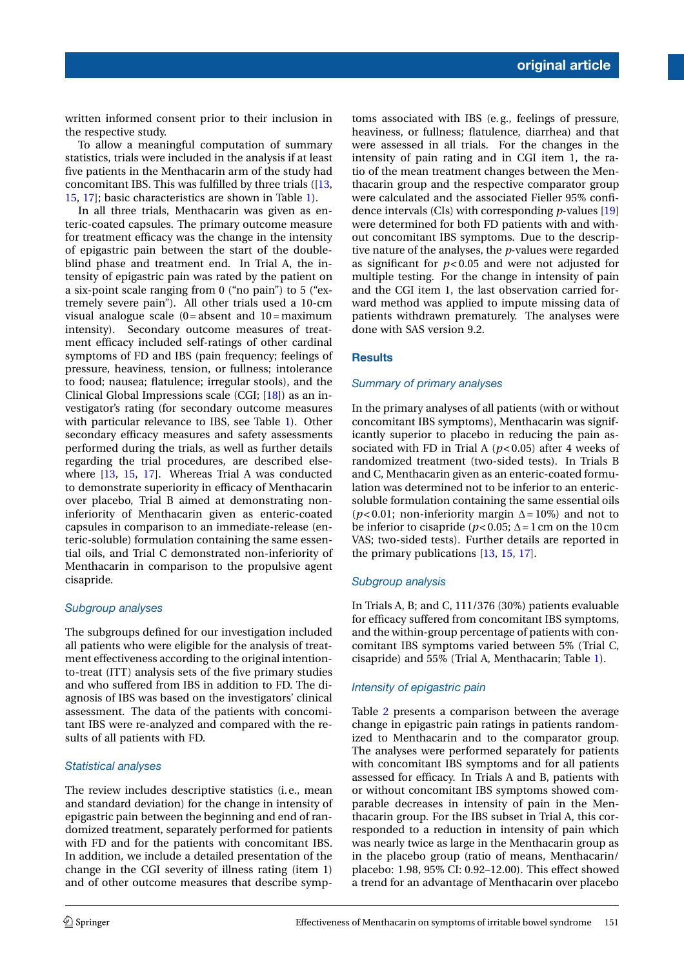written informed consent prior to their inclusion in the respective study.

To allow a meaningful computation of summary statistics, trials were included in the analysis if at least five patients in the Menthacarin arm of the study had concomitant IBS. This was fulfilled by three trials ([\[13,](#page-6-2) [15,](#page-6-3) [17\]](#page-6-1); basic characteristics are shown in Table [1\)](#page-1-1).

In all three trials, Menthacarin was given as enteric-coated capsules. The primary outcome measure for treatment efficacy was the change in the intensity of epigastric pain between the start of the doubleblind phase and treatment end. In Trial A, the intensity of epigastric pain was rated by the patient on a six-point scale ranging from 0 ("no pain") to 5 ("extremely severe pain"). All other trials used a 10-cm visual analogue scale  $(0 = absent$  and  $10 = maximum$ intensity). Secondary outcome measures of treatment efficacy included self-ratings of other cardinal symptoms of FD and IBS (pain frequency; feelings of pressure, heaviness, tension, or fullness; intolerance to food; nausea; flatulence; irregular stools), and the Clinical Global Impressions scale (CGI; [\[18\]](#page-6-7)) as an investigator's rating (for secondary outcome measures with particular relevance to IBS, see Table [1\)](#page-1-1). Other secondary efficacy measures and safety assessments performed during the trials, as well as further details regarding the trial procedures, are described elsewhere [\[13,](#page-6-2) [15,](#page-6-3) [17\]](#page-6-1). Whereas Trial A was conducted to demonstrate superiority in efficacy of Menthacarin over placebo, Trial B aimed at demonstrating noninferiority of Menthacarin given as enteric-coated capsules in comparison to an immediate-release (enteric-soluble) formulation containing the same essential oils, and Trial C demonstrated non-inferiority of Menthacarin in comparison to the propulsive agent cisapride.

# *Subgroup analyses*

The subgroups defined for our investigation included all patients who were eligible for the analysis of treatment effectiveness according to the original intentionto-treat (ITT) analysis sets of the five primary studies and who suffered from IBS in addition to FD. The diagnosis of IBS was based on the investigators' clinical assessment. The data of the patients with concomitant IBS were re-analyzed and compared with the results of all patients with FD.

## *Statistical analyses*

The review includes descriptive statistics (i. e., mean and standard deviation) for the change in intensity of epigastric pain between the beginning and end of randomized treatment, separately performed for patients with FD and for the patients with concomitant IBS. In addition, we include a detailed presentation of the change in the CGI severity of illness rating (item 1) and of other outcome measures that describe symptoms associated with IBS (e. g., feelings of pressure, heaviness, or fullness; flatulence, diarrhea) and that were assessed in all trials. For the changes in the intensity of pain rating and in CGI item 1, the ratio of the mean treatment changes between the Menthacarin group and the respective comparator group were calculated and the associated Fieller 95% confidence intervals (CIs) with corresponding *p*-values [\[19\]](#page-6-8) were determined for both FD patients with and without concomitant IBS symptoms. Due to the descriptive nature of the analyses, the *p*-values were regarded as significant for *p*< 0.05 and were not adjusted for multiple testing. For the change in intensity of pain and the CGI item 1, the last observation carried forward method was applied to impute missing data of patients withdrawn prematurely. The analyses were done with SAS version 9.2.

## **Results**

## *Summary of primary analyses*

In the primary analyses of all patients (with or without concomitant IBS symptoms), Menthacarin was significantly superior to placebo in reducing the pain associated with FD in Trial A (*p*< 0.05) after 4 weeks of randomized treatment (two-sided tests). In Trials B and C, Menthacarin given as an enteric-coated formulation was determined not to be inferior to an entericsoluble formulation containing the same essential oils ( $p$ <0.01; non-inferiority margin  $\Delta = 10\%$ ) and not to be inferior to cisapride ( $p < 0.05$ ;  $\Delta = 1$  cm on the 10 cm VAS; two-sided tests). Further details are reported in the primary publications [\[13,](#page-6-2) [15,](#page-6-3) [17\]](#page-6-1).

## *Subgroup analysis*

In Trials A, B; and C, 111/376 (30%) patients evaluable for efficacy suffered from concomitant IBS symptoms, and the within-group percentage of patients with concomitant IBS symptoms varied between 5% (Trial C, cisapride) and 55% (Trial A, Menthacarin; Table [1\)](#page-1-1).

# *Intensity of epigastric pain*

Table [2](#page-3-0) presents a comparison between the average change in epigastric pain ratings in patients randomized to Menthacarin and to the comparator group. The analyses were performed separately for patients with concomitant IBS symptoms and for all patients assessed for efficacy. In Trials A and B, patients with or without concomitant IBS symptoms showed comparable decreases in intensity of pain in the Menthacarin group. For the IBS subset in Trial A, this corresponded to a reduction in intensity of pain which was nearly twice as large in the Menthacarin group as in the placebo group (ratio of means, Menthacarin/ placebo: 1.98, 95% CI: 0.92–12.00). This effect showed a trend for an advantage of Menthacarin over placebo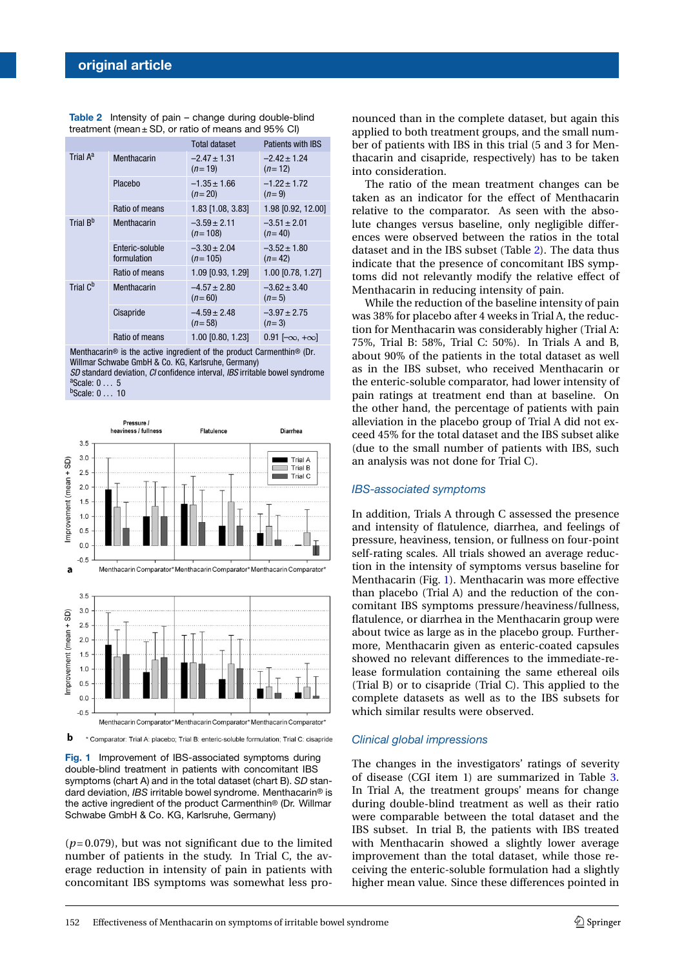|                      |                                | <b>Total dataset</b>          | <b>Patients with IBS</b>     |
|----------------------|--------------------------------|-------------------------------|------------------------------|
| Trial A <sup>a</sup> | Menthacarin                    | $-2.47 \pm 1.31$<br>$(n=19)$  | $-2.42 + 1.24$<br>$(n=12)$   |
|                      | Placebo                        | $-1.35 \pm 1.66$<br>$(n=20)$  | $-1.22 + 1.72$<br>$(n=9)$    |
|                      | Ratio of means                 | 1.83 [1.08, 3.83]             | 1.98 [0.92, 12.00]           |
| Trial B <sup>b</sup> | Menthacarin                    | $-3.59 \pm 2.11$<br>$(n=108)$ | $-3.51 \pm 2.01$<br>$(n=40)$ |
|                      | Enteric-soluble<br>formulation | $-3.30 \pm 2.04$<br>$(n=105)$ | $-3.52 \pm 1.80$<br>$(n=42)$ |
|                      | Ratio of means                 | 1.09 [0.93, 1.29]             | 1.00 [0.78, 1.27]            |
| Trial C <sup>b</sup> | Menthacarin                    | $-4.57 \pm 2.80$<br>$(n=60)$  | $-3.62 \pm 3.40$<br>$(n=5)$  |
|                      | Cisapride                      | $-4.59 \pm 2.48$<br>$(n=58)$  | $-3.97 \pm 2.75$<br>$(n=3)$  |
|                      | Ratio of means                 | 1.00 [0.80, 1.23]             | $0.91$ $[-\infty, +\infty]$  |

<span id="page-3-0"></span>**Table 2** Intensity of pain – change during double-blind treatment (mean  $\pm$  SD, or ratio of means and 95% CI)

Menthacarin® is the active ingredient of the product Carmenthin® (Dr. Willmar Schwabe GmbH & Co. KG, Karlsruhe, Germany)

*SD* standard deviation, *CI* confidence interval, *IBS* irritable bowel syndrome a<sub>Scale: 0</sub>... 5

<sup>b</sup>Scale: 0 ... 10



<span id="page-3-1"></span>b \* Comparator: Trial A: placebo; Trial B: enteric-soluble formulation; Trial C: cisapride

**Fig. 1** Improvement of IBS-associated symptoms during double-blind treatment in patients with concomitant IBS symptoms (chart A) and in the total dataset (chart B). *SD* standard deviation, *IBS* irritable bowel syndrome. Menthacarin® is the active ingredient of the product Carmenthin® (Dr. Willmar Schwabe GmbH & Co. KG, Karlsruhe, Germany)

 $(p= 0.079)$ , but was not significant due to the limited number of patients in the study. In Trial C, the average reduction in intensity of pain in patients with concomitant IBS symptoms was somewhat less pronounced than in the complete dataset, but again this applied to both treatment groups, and the small number of patients with IBS in this trial (5 and 3 for Menthacarin and cisapride, respectively) has to be taken into consideration.

The ratio of the mean treatment changes can be taken as an indicator for the effect of Menthacarin relative to the comparator. As seen with the absolute changes versus baseline, only negligible differences were observed between the ratios in the total dataset and in the IBS subset (Table [2\)](#page-3-0). The data thus indicate that the presence of concomitant IBS symptoms did not relevantly modify the relative effect of Menthacarin in reducing intensity of pain.

While the reduction of the baseline intensity of pain was 38% for placebo after 4 weeks in Trial A, the reduction for Menthacarin was considerably higher (Trial A: 75%, Trial B: 58%, Trial C: 50%). In Trials A and B, about 90% of the patients in the total dataset as well as in the IBS subset, who received Menthacarin or the enteric-soluble comparator, had lower intensity of pain ratings at treatment end than at baseline. On the other hand, the percentage of patients with pain alleviation in the placebo group of Trial A did not exceed 45% for the total dataset and the IBS subset alike (due to the small number of patients with IBS, such an analysis was not done for Trial C).

#### *IBS-associated symptoms*

In addition, Trials A through C assessed the presence and intensity of flatulence, diarrhea, and feelings of pressure, heaviness, tension, or fullness on four-point self-rating scales. All trials showed an average reduction in the intensity of symptoms versus baseline for Menthacarin (Fig. [1\)](#page-3-1). Menthacarin was more effective than placebo (Trial A) and the reduction of the concomitant IBS symptoms pressure/heaviness/fullness, flatulence, or diarrhea in the Menthacarin group were about twice as large as in the placebo group. Furthermore, Menthacarin given as enteric-coated capsules showed no relevant differences to the immediate-release formulation containing the same ethereal oils (Trial B) or to cisapride (Trial C). This applied to the complete datasets as well as to the IBS subsets for which similar results were observed.

#### *Clinical global impressions*

The changes in the investigators' ratings of severity of disease (CGI item 1) are summarized in Table [3.](#page-4-0) In Trial A, the treatment groups' means for change during double-blind treatment as well as their ratio were comparable between the total dataset and the IBS subset. In trial B, the patients with IBS treated with Menthacarin showed a slightly lower average improvement than the total dataset, while those receiving the enteric-soluble formulation had a slightly higher mean value. Since these differences pointed in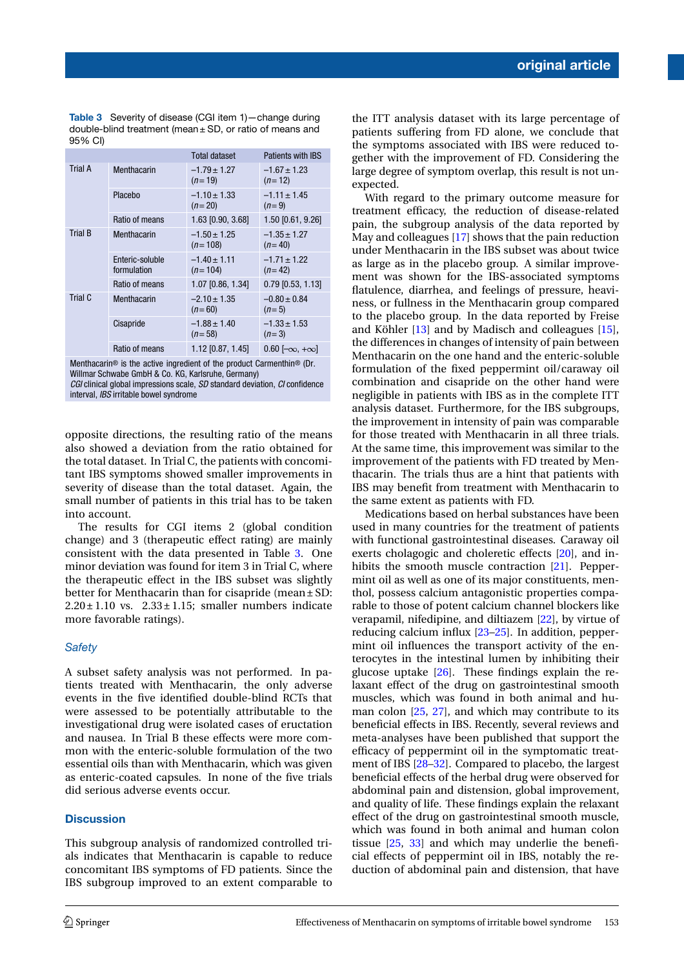**original article**

**Table 3** Severity of disease (CGI item 1)—change during double-blind treatment (mean  $\pm$  SD, or ratio of means and 95% CI)

<span id="page-4-0"></span>

|                                                                                 |                                | <b>Total dataset</b>          | <b>Patients with IBS</b>     |  |  |
|---------------------------------------------------------------------------------|--------------------------------|-------------------------------|------------------------------|--|--|
| <b>Trial A</b>                                                                  | Menthacarin                    | $-1.79 \pm 1.27$<br>$(n=19)$  | $-1.67 \pm 1.23$<br>$(n=12)$ |  |  |
|                                                                                 | Placebo                        | $-1.10 \pm 1.33$<br>$(n=20)$  | $-1.11 \pm 1.45$<br>$(n=9)$  |  |  |
|                                                                                 | Ratio of means                 | 1.63 [0.90, 3.68]             | 1.50 [0.61, 9.26]            |  |  |
| <b>Trial B</b>                                                                  | Menthacarin                    | $-1.50 \pm 1.25$<br>$(n=108)$ | $-1.35 \pm 1.27$<br>$(n=40)$ |  |  |
|                                                                                 | Enteric-soluble<br>formulation | $-1.40 \pm 1.11$<br>$(n=104)$ | $-1.71 \pm 1.22$<br>$(n=42)$ |  |  |
|                                                                                 | Ratio of means                 | 1.07 [0.86, 1.34]             | $0.79$ [0.53, 1.13]          |  |  |
| Trial C                                                                         | Menthacarin                    | $-2.10 \pm 1.35$<br>$(n=60)$  | $-0.80 \pm 0.84$<br>$(n=5)$  |  |  |
|                                                                                 | Cisapride                      | $-1.88 \pm 1.40$<br>$(n=58)$  | $-1.33 \pm 1.53$<br>$(n=3)$  |  |  |
|                                                                                 | Ratio of means                 | 1.12 [0.87, 1.45]             | $0.60$ $[-\infty, +\infty]$  |  |  |
| Mantheographic in the potter increation of the nucleot Coursemble $\otimes$ (Du |                                |                               |                              |  |  |

Menthacarin® is the active ingredient of the product Carmenthin® (Dr. Willmar Schwabe GmbH & Co. KG, Karlsruhe, Germany) *CGI* clinical global impressions scale, *SD* standard deviation, *CI* confidence interval, *IBS* irritable bowel syndrome

opposite directions, the resulting ratio of the means also showed a deviation from the ratio obtained for the total dataset. In Trial C, the patients with concomitant IBS symptoms showed smaller improvements in severity of disease than the total dataset. Again, the small number of patients in this trial has to be taken into account.

The results for CGI items 2 (global condition change) and 3 (therapeutic effect rating) are mainly consistent with the data presented in Table [3.](#page-4-0) One minor deviation was found for item 3 in Trial C, where the therapeutic effect in the IBS subset was slightly better for Menthacarin than for cisapride (mean ± SD:  $2.20 \pm 1.10$  vs.  $2.33 \pm 1.15$ ; smaller numbers indicate more favorable ratings).

# *Safety*

A subset safety analysis was not performed. In patients treated with Menthacarin, the only adverse events in the five identified double-blind RCTs that were assessed to be potentially attributable to the investigational drug were isolated cases of eructation and nausea. In Trial B these effects were more common with the enteric-soluble formulation of the two essential oils than with Menthacarin, which was given as enteric-coated capsules. In none of the five trials did serious adverse events occur.

# **Discussion**

This subgroup analysis of randomized controlled trials indicates that Menthacarin is capable to reduce concomitant IBS symptoms of FD patients. Since the IBS subgroup improved to an extent comparable to

the ITT analysis dataset with its large percentage of patients suffering from FD alone, we conclude that the symptoms associated with IBS were reduced together with the improvement of FD. Considering the large degree of symptom overlap, this result is not unexpected.

With regard to the primary outcome measure for treatment efficacy, the reduction of disease-related pain, the subgroup analysis of the data reported by May and colleagues [\[17\]](#page-6-1) shows that the pain reduction under Menthacarin in the IBS subset was about twice as large as in the placebo group. A similar improvement was shown for the IBS-associated symptoms flatulence, diarrhea, and feelings of pressure, heaviness, or fullness in the Menthacarin group compared to the placebo group. In the data reported by Freise and Köhler [\[13\]](#page-6-2) and by Madisch and colleagues [\[15\]](#page-6-3), the differences in changes of intensity of pain between Menthacarin on the one hand and the enteric-soluble formulation of the fixed peppermint oil/caraway oil combination and cisapride on the other hand were negligible in patients with IBS as in the complete ITT analysis dataset. Furthermore, for the IBS subgroups, the improvement in intensity of pain was comparable for those treated with Menthacarin in all three trials. At the same time, this improvement was similar to the improvement of the patients with FD treated by Menthacarin. The trials thus are a hint that patients with IBS may benefit from treatment with Menthacarin to the same extent as patients with FD.

Medications based on herbal substances have been used in many countries for the treatment of patients with functional gastrointestinal diseases. Caraway oil exerts cholagogic and choleretic effects [\[20\]](#page-6-9), and in-hibits the smooth muscle contraction [\[21\]](#page-6-10). Peppermint oil as well as one of its major constituents, menthol, possess calcium antagonistic properties comparable to those of potent calcium channel blockers like verapamil, nifedipine, and diltiazem [\[22\]](#page-6-11), by virtue of reducing calcium influx [\[23](#page-6-12)[–25\]](#page-6-13). In addition, peppermint oil influences the transport activity of the enterocytes in the intestinal lumen by inhibiting their glucose uptake [\[26\]](#page-6-14). These findings explain the relaxant effect of the drug on gastrointestinal smooth muscles, which was found in both animal and human colon [\[25,](#page-6-13) [27\]](#page-6-15), and which may contribute to its beneficial effects in IBS. Recently, several reviews and meta-analyses have been published that support the efficacy of peppermint oil in the symptomatic treatment of IBS [\[28](#page-6-16)[–32\]](#page-6-17). Compared to placebo, the largest beneficial effects of the herbal drug were observed for abdominal pain and distension, global improvement, and quality of life. These findings explain the relaxant effect of the drug on gastrointestinal smooth muscle, which was found in both animal and human colon tissue [\[25,](#page-6-13) [33\]](#page-6-18) and which may underlie the beneficial effects of peppermint oil in IBS, notably the reduction of abdominal pain and distension, that have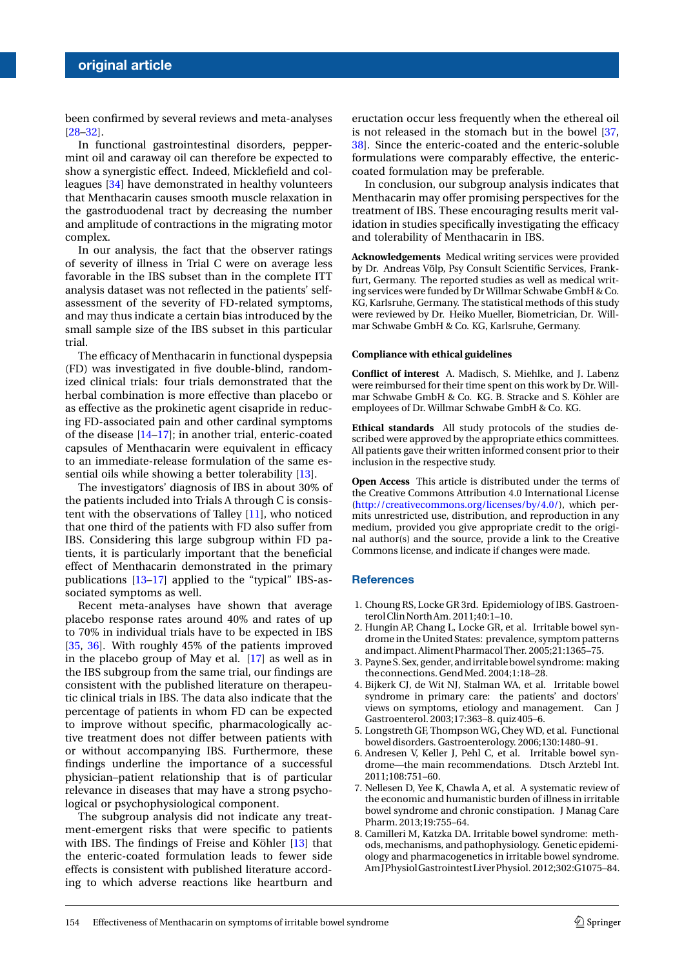been confirmed by several reviews and meta-analyses [\[28–](#page-6-16)[32\]](#page-6-17).

In functional gastrointestinal disorders, peppermint oil and caraway oil can therefore be expected to show a synergistic effect. Indeed, Micklefield and colleagues [\[34\]](#page-6-19) have demonstrated in healthy volunteers that Menthacarin causes smooth muscle relaxation in the gastroduodenal tract by decreasing the number and amplitude of contractions in the migrating motor complex.

In our analysis, the fact that the observer ratings of severity of illness in Trial C were on average less favorable in the IBS subset than in the complete ITT analysis dataset was not reflected in the patients' selfassessment of the severity of FD-related symptoms, and may thus indicate a certain bias introduced by the small sample size of the IBS subset in this particular trial.

The efficacy of Menthacarin in functional dyspepsia (FD) was investigated in five double-blind, randomized clinical trials: four trials demonstrated that the herbal combination is more effective than placebo or as effective as the prokinetic agent cisapride in reducing FD-associated pain and other cardinal symptoms of the disease [\[14](#page-6-20)[–17\]](#page-6-1); in another trial, enteric-coated capsules of Menthacarin were equivalent in efficacy to an immediate-release formulation of the same essential oils while showing a better tolerability [\[13\]](#page-6-2).

The investigators' diagnosis of IBS in about 30% of the patients included into Trials A through C is consistent with the observations of Talley [\[11\]](#page-6-5), who noticed that one third of the patients with FD also suffer from IBS. Considering this large subgroup within FD patients, it is particularly important that the beneficial effect of Menthacarin demonstrated in the primary publications [\[13](#page-6-2)[–17\]](#page-6-1) applied to the "typical" IBS-associated symptoms as well.

Recent meta-analyses have shown that average placebo response rates around 40% and rates of up to 70% in individual trials have to be expected in IBS [\[35,](#page-6-21) [36\]](#page-6-22). With roughly 45% of the patients improved in the placebo group of May et al. [\[17\]](#page-6-1) as well as in the IBS subgroup from the same trial, our findings are consistent with the published literature on therapeutic clinical trials in IBS. The data also indicate that the percentage of patients in whom FD can be expected to improve without specific, pharmacologically active treatment does not differ between patients with or without accompanying IBS. Furthermore, these findings underline the importance of a successful physician–patient relationship that is of particular relevance in diseases that may have a strong psychological or psychophysiological component.

The subgroup analysis did not indicate any treatment-emergent risks that were specific to patients with IBS. The findings of Freise and Köhler [\[13\]](#page-6-2) that the enteric-coated formulation leads to fewer side effects is consistent with published literature according to which adverse reactions like heartburn and eructation occur less frequently when the ethereal oil is not released in the stomach but in the bowel [\[37,](#page-6-23) [38\]](#page-6-24). Since the enteric-coated and the enteric-soluble formulations were comparably effective, the entericcoated formulation may be preferable.

In conclusion, our subgroup analysis indicates that Menthacarin may offer promising perspectives for the treatment of IBS. These encouraging results merit validation in studies specifically investigating the efficacy and tolerability of Menthacarin in IBS.

**Acknowledgements** Medical writing services were provided by Dr. Andreas Völp, Psy Consult Scientific Services, Frankfurt, Germany. The reported studies as well as medical writing services were funded by Dr Willmar Schwabe GmbH & Co. KG, Karlsruhe, Germany. The statistical methods of this study were reviewed by Dr. Heiko Mueller, Biometrician, Dr. Willmar Schwabe GmbH & Co. KG, Karlsruhe, Germany.

#### **Compliance with ethical guidelines**

**Conflict of interest** A. Madisch, S. Miehlke, and J. Labenz were reimbursed for their time spent on this work by Dr. Willmar Schwabe GmbH & Co. KG. B. Stracke and S. Köhler are employees of Dr. Willmar Schwabe GmbH & Co. KG.

**Ethical standards** All study protocols of the studies described were approved by the appropriate ethics committees. All patients gave their written informed consent prior to their inclusion in the respective study.

**Open Access** This article is distributed under the terms of the Creative Commons Attribution 4.0 International License [\(http://creativecommons.org/licenses/by/4.0/\)](http://creativecommons.org/licenses/by/4.0/), which permits unrestricted use, distribution, and reproduction in any medium, provided you give appropriate credit to the original author(s) and the source, provide a link to the Creative Commons license, and indicate if changes were made.

## **References**

- <span id="page-5-1"></span><span id="page-5-0"></span>1. Choung RS, Locke GR 3rd. Epidemiology of IBS. GastroenterolClinNorthAm. 2011;40:1–10.
- 2. Hungin AP, Chang L, Locke GR, et al. Irritable bowel syndrome in the United States: prevalence, symptom patterns andimpact. AlimentPharmacolTher. 2005;21:1365–75.
- <span id="page-5-3"></span><span id="page-5-2"></span>3. PayneS. Sex, gender, andirritablebowel syndrome: making theconnections. GendMed. 2004;1:18–28.
- 4. Bijkerk CJ, de Wit NJ, Stalman WA, et al. Irritable bowel syndrome in primary care: the patients' and doctors' views on symptoms, etiology and management. Can J Gastroenterol. 2003;17:363–8. quiz 405–6.
- <span id="page-5-5"></span><span id="page-5-4"></span>5. Longstreth GF, Thompson WG, Chey WD, et al. Functional boweldisorders. Gastroenterology. 2006;130:1480–91.
- 6. Andresen V, Keller J, Pehl C, et al. Irritable bowel syndrome—the main recommendations. Dtsch Arztebl Int. 2011;108:751–60.
- <span id="page-5-6"></span>7. Nellesen D, Yee K, Chawla A, et al. A systematic review of the economic and humanistic burden of illness in irritable bowel syndrome and chronic constipation. J Manag Care Pharm. 2013;19:755–64.
- <span id="page-5-7"></span>8. Camilleri M, Katzka DA. Irritable bowel syndrome: methods, mechanisms, and pathophysiology. Genetic epidemiology and pharmacogenetics in irritable bowel syndrome. AmJPhysiolGastrointestLiverPhysiol. 2012;302:G1075–84.